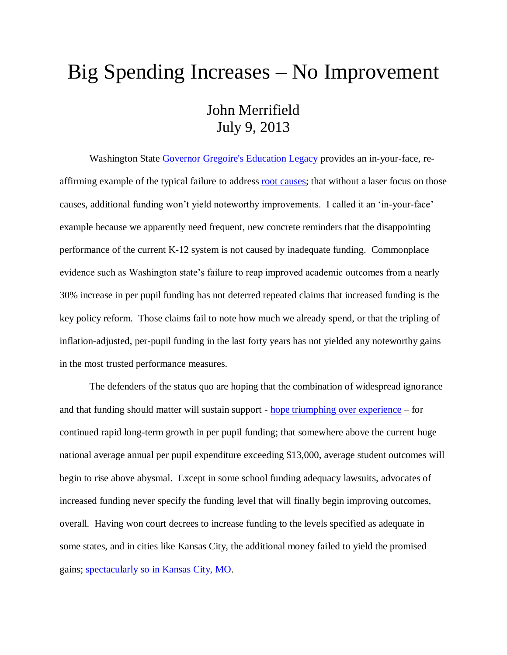## Big Spending Increases – No Improvement John Merrifield July 9, 2013

Washington State [Governor Gregoire's Education Legacy](http://www.washingtonpolicy.org/publications/brief/governor-gregoires-education-legacy) provides an in-your-face, reaffirming example of the typical failure to address [root causes;](http://nebula.wsimg.com/de7a505e69a5da1955afc3fa273fe806?AccessKeyId=DA21FC8554A675E9CF7B&disposition=0&alloworigin=1) that without a laser focus on those causes, additional funding won't yield noteworthy improvements. I called it an 'in-your-face' example because we apparently need frequent, new concrete reminders that the disappointing performance of the current K-12 system is not caused by inadequate funding. Commonplace evidence such as Washington state's failure to reap improved academic outcomes from a nearly 30% increase in per pupil funding has not deterred repeated claims that increased funding is the key policy reform. Those claims fail to note how much we already spend, or that the tripling of inflation-adjusted, per-pupil funding in the last forty years has not yielded any noteworthy gains in the most trusted performance measures.

The defenders of the status quo are hoping that the combination of widespread ignorance and that funding should matter will sustain support - [hope triumphing over experience](http://www.youtube.com/watch?v=UzD2Hq6A4Cc) – for continued rapid long-term growth in per pupil funding; that somewhere above the current huge national average annual per pupil expenditure exceeding \$13,000, average student outcomes will begin to rise above abysmal. Except in some school funding adequacy lawsuits, advocates of increased funding never specify the funding level that will finally begin improving outcomes, overall. Having won court decrees to increase funding to the levels specified as adequate in some states, and in cities like Kansas City, the additional money failed to yield the promised gains; [spectacularly so in Kansas City, MO.](https://www.cato.org/publications/commentary/americas-most-costly-educational-failure)